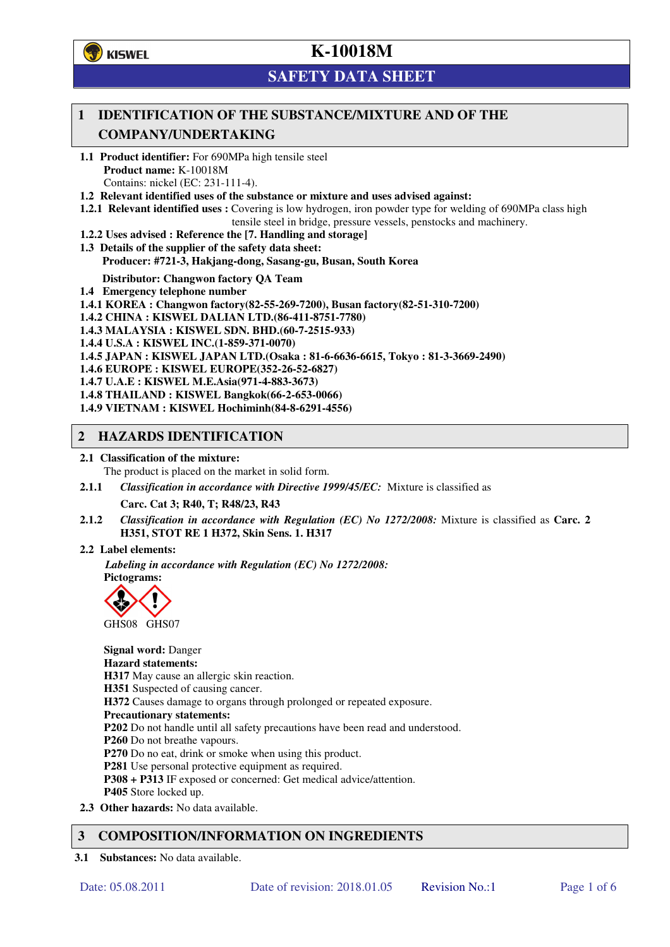**学**)KISWEL

# **K-10018M**

## **SAFETY DATA SHEET**

### **1 IDENTIFICATION OF THE SUBSTANCE/MIXTURE AND OF THE COMPANY/UNDERTAKING**

- **1.1 Product identifier:** For 690MPa high tensile steel **Product name:** K-10018M Contains: nickel (EC: 231-111-4).
- **1.2 Relevant identified uses of the substance or mixture and uses advised against:**
- **1.2.1 Relevant identified uses :** Covering is low hydrogen, iron powder type for welding of 690MPa class high tensile steel in bridge, pressure vessels, penstocks and machinery.
- **1.2.2 Uses advised : Reference the [7. Handling and storage]**
- **1.3 Details of the supplier of the safety data sheet: Producer: #721-3, Hakjang-dong, Sasang-gu, Busan, South Korea**

**Distributor: Changwon factory QA Team** 

- **1.4 Emergency telephone number**
- **1.4.1 KOREA : Changwon factory(82-55-269-7200), Busan factory(82-51-310-7200)**
- **1.4.2 CHINA : KISWEL DALIAN LTD.(86-411-8751-7780)**
- **1.4.3 MALAYSIA : KISWEL SDN. BHD.(60-7-2515-933)**
- **1.4.4 U.S.A : KISWEL INC.(1-859-371-0070)**
- **1.4.5 JAPAN : KISWEL JAPAN LTD.(Osaka : 81-6-6636-6615, Tokyo : 81-3-3669-2490)**
- **1.4.6 EUROPE : KISWEL EUROPE(352-26-52-6827)**
- **1.4.7 U.A.E : KISWEL M.E.Asia(971-4-883-3673)**
- **1.4.8 THAILAND : KISWEL Bangkok(66-2-653-0066)**
- **1.4.9 VIETNAM : KISWEL Hochiminh(84-8-6291-4556)**

#### **2 HAZARDS IDENTIFICATION**

- **2.1 Classification of the mixture:** 
	- The product is placed on the market in solid form.
- **2.1.1** *Classification in accordance with Directive 1999/45/EC:* Mixture is classified as

**Carc. Cat 3; R40, T; R48/23, R43** 

- **2.1.2** *Classification in accordance with Regulation (EC) No 1272/2008:* Mixture is classified as **Carc. 2 H351, STOT RE 1 H372, Skin Sens. 1. H317**
- **2.2 Label elements:**

*Labeling in accordance with Regulation (EC) No 1272/2008:*  **Pictograms:** 



**Signal word:** Danger **Hazard statements: H317** May cause an allergic skin reaction. **H351** Suspected of causing cancer. **H372** Causes damage to organs through prolonged or repeated exposure. **Precautionary statements: P202** Do not handle until all safety precautions have been read and understood. **P260** Do not breathe vapours. **P270** Do no eat, drink or smoke when using this product. **P281** Use personal protective equipment as required. **P308 + P313** IF exposed or concerned: Get medical advice/attention. **P405** Store locked up. **2.3 Other hazards:** No data available.

### **3 COMPOSITION/INFORMATION ON INGREDIENTS**

**3.1 Substances:** No data available.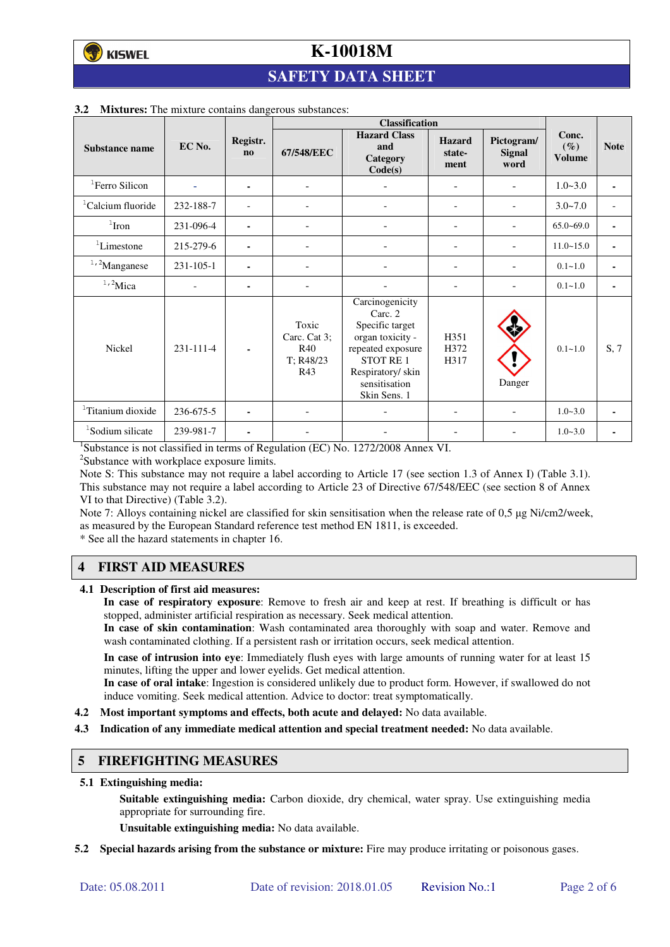## **SAFETY DATA SHEET**

|                               |                 |                          | <b>Classification</b>                                   |                                                                                                                                                         |                                 |                                     |                                  |             |
|-------------------------------|-----------------|--------------------------|---------------------------------------------------------|---------------------------------------------------------------------------------------------------------------------------------------------------------|---------------------------------|-------------------------------------|----------------------------------|-------------|
| Substance name                | EC No.          | Registr.<br>$\mathbf{n}$ | 67/548/EEC                                              | <b>Hazard Class</b><br>and<br>Category<br>Code(s)                                                                                                       | <b>Hazard</b><br>state-<br>ment | Pictogram/<br><b>Signal</b><br>word | Conc.<br>$(\%)$<br><b>Volume</b> | <b>Note</b> |
| <sup>1</sup> Ferro Silicon    |                 | ۰                        | $\overline{\phantom{a}}$                                |                                                                                                                                                         | ۰                               |                                     | $1.0 - 3.0$                      | $\sim$      |
| <sup>1</sup> Calcium fluoride | 232-188-7       |                          |                                                         |                                                                                                                                                         | $\overline{\phantom{0}}$        |                                     | $3.0 - 7.0$                      |             |
| $1$ Iron                      | 231-096-4       | ۰                        |                                                         |                                                                                                                                                         | ÷                               |                                     | $65.0 - 69.0$                    | ٠           |
| ${}^{1}$ Limestone            | 215-279-6       | ۰                        | $\blacksquare$                                          |                                                                                                                                                         | ۰                               |                                     | $11.0 - 15.0$                    | ٠           |
| $1,2$ Manganese               | $231 - 105 - 1$ |                          |                                                         |                                                                                                                                                         |                                 |                                     | $0.1 - 1.0$                      |             |
| $1,2$ Mica                    |                 | ۰                        |                                                         |                                                                                                                                                         |                                 |                                     | $0.1 - 1.0$                      | ٠           |
| <b>Nickel</b>                 | 231-111-4       |                          | Toxic<br>Carc. Cat 3;<br><b>R40</b><br>T: R48/23<br>R43 | Carcinogenicity<br>Carc. 2<br>Specific target<br>organ toxicity -<br>repeated exposure<br>STOT RE1<br>Respiratory/skin<br>sensitisation<br>Skin Sens. 1 | H351<br>H372<br>H317            | Danger                              | $0.1 - 1.0$                      | S, 7        |
| <sup>1</sup> Titanium dioxide | 236-675-5       |                          |                                                         |                                                                                                                                                         |                                 |                                     | $1.0 - 3.0$                      | ٠           |
| <sup>1</sup> Sodium silicate  | 239-981-7       | ۰                        |                                                         |                                                                                                                                                         |                                 |                                     | $1.0 - 3.0$                      |             |

#### **3.2 Mixtures:** The mixture contains dangerous substances:

<sup>1</sup>Substance is not classified in terms of Regulation (EC) No. 1272/2008 Annex VI.

<sup>2</sup>Substance with workplace exposure limits.

Note S: This substance may not require a label according to Article 17 (see section 1.3 of Annex I) (Table 3.1). This substance may not require a label according to Article 23 of Directive 67/548/EEC (see section 8 of Annex VI to that Directive) (Table 3.2).

Note 7: Alloys containing nickel are classified for skin sensitisation when the release rate of 0,5 µg Ni/cm2/week, as measured by the European Standard reference test method EN 1811, is exceeded.

\* See all the hazard statements in chapter 16.

### **4 FIRST AID MEASURES**

**4.1 Description of first aid measures:** 

**In case of respiratory exposure**: Remove to fresh air and keep at rest. If breathing is difficult or has stopped, administer artificial respiration as necessary. Seek medical attention.

**In case of skin contamination**: Wash contaminated area thoroughly with soap and water. Remove and wash contaminated clothing. If a persistent rash or irritation occurs, seek medical attention.

 **In case of intrusion into eye**: Immediately flush eyes with large amounts of running water for at least 15 minutes, lifting the upper and lower eyelids. Get medical attention.

**In case of oral intake**: Ingestion is considered unlikely due to product form. However, if swallowed do not induce vomiting. Seek medical attention. Advice to doctor: treat symptomatically.

- **4.2 Most important symptoms and effects, both acute and delayed:** No data available.
- **4.3 Indication of any immediate medical attention and special treatment needed:** No data available.

#### **5 FIREFIGHTING MEASURES**

**5.1 Extinguishing media:** 

**Suitable extinguishing media:** Carbon dioxide, dry chemical, water spray. Use extinguishing media appropriate for surrounding fire.

**Unsuitable extinguishing media:** No data available.

**5.2 Special hazards arising from the substance or mixture:** Fire may produce irritating or poisonous gases.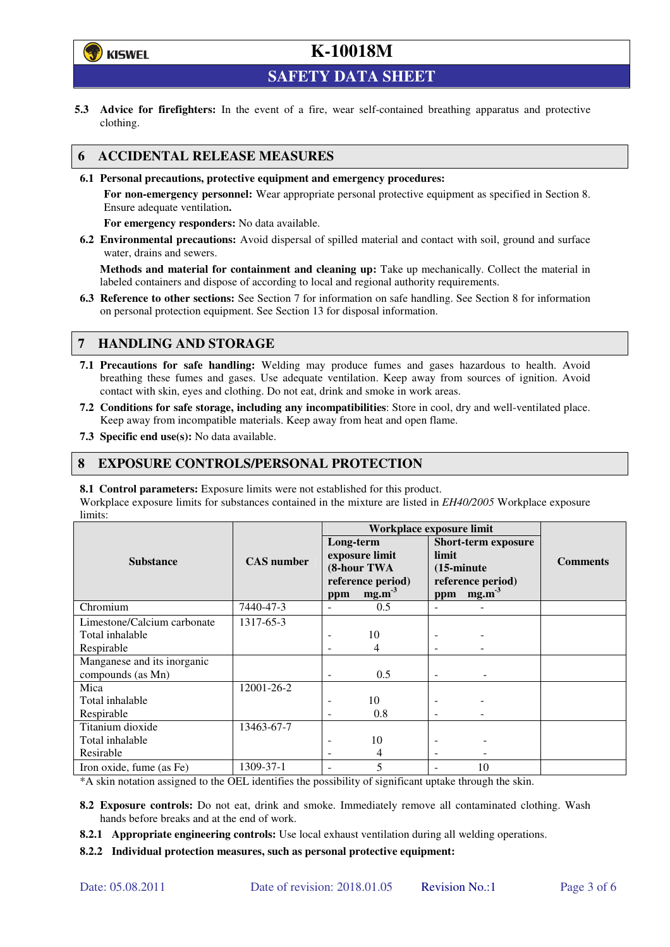

**SAFETY DATA SHEET** 

**5.3 Advice for firefighters:** In the event of a fire, wear self-contained breathing apparatus and protective clothing.

#### **6 ACCIDENTAL RELEASE MEASURES**

**6.1 Personal precautions, protective equipment and emergency procedures:** 

**For non-emergency personnel:** Wear appropriate personal protective equipment as specified in Section 8. Ensure adequate ventilation**.** 

**For emergency responders:** No data available.

**6.2 Environmental precautions:** Avoid dispersal of spilled material and contact with soil, ground and surface water, drains and sewers.

**Methods and material for containment and cleaning up:** Take up mechanically. Collect the material in labeled containers and dispose of according to local and regional authority requirements.

**6.3 Reference to other sections:** See Section 7 for information on safe handling. See Section 8 for information on personal protection equipment. See Section 13 for disposal information.

#### **7 HANDLING AND STORAGE**

- **7.1 Precautions for safe handling:** Welding may produce fumes and gases hazardous to health. Avoid breathing these fumes and gases. Use adequate ventilation. Keep away from sources of ignition. Avoid contact with skin, eyes and clothing. Do not eat, drink and smoke in work areas.
- **7.2 Conditions for safe storage, including any incompatibilities**: Store in cool, dry and well-ventilated place. Keep away from incompatible materials. Keep away from heat and open flame.
- **7.3 Specific end use(s):** No data available.

#### **8 EXPOSURE CONTROLS/PERSONAL PROTECTION**

**8.1 Control parameters:** Exposure limits were not established for this product.

Workplace exposure limits for substances contained in the mixture are listed in *EH40/2005* Workplace exposure limits:

|                                                  |                   | Workplace exposure limit |                                                                         |                                      |                                                                      |                 |
|--------------------------------------------------|-------------------|--------------------------|-------------------------------------------------------------------------|--------------------------------------|----------------------------------------------------------------------|-----------------|
| <b>Substance</b>                                 | <b>CAS</b> number | Long-term<br>ppm         | exposure limit<br>(8-hour TWA<br>reference period)<br>mg.m <sup>3</sup> | limit<br>$(15\text{-minute})$<br>ppm | <b>Short-term exposure</b><br>reference period)<br>mg.m <sup>3</sup> | <b>Comments</b> |
| Chromium                                         | 7440-47-3         |                          | 0.5                                                                     |                                      |                                                                      |                 |
| Limestone/Calcium carbonate                      | 1317-65-3         |                          |                                                                         |                                      |                                                                      |                 |
| Total inhalable                                  |                   |                          | 10                                                                      |                                      |                                                                      |                 |
| Respirable                                       |                   |                          | 4                                                                       |                                      |                                                                      |                 |
| Manganese and its inorganic<br>compounds (as Mn) |                   | ٠                        | 0.5                                                                     | $\overline{\phantom{0}}$             |                                                                      |                 |
| Mica                                             | 12001-26-2        |                          |                                                                         |                                      |                                                                      |                 |
| Total inhalable                                  |                   |                          | 10                                                                      |                                      |                                                                      |                 |
| Respirable                                       |                   |                          | 0.8                                                                     |                                      |                                                                      |                 |
| Titanium dioxide                                 | 13463-67-7        |                          |                                                                         |                                      |                                                                      |                 |
| Total inhalable                                  |                   |                          | 10                                                                      |                                      |                                                                      |                 |
| Resirable                                        |                   |                          | 4                                                                       |                                      |                                                                      |                 |
| Iron oxide, fume (as Fe)                         | 1309-37-1         |                          | 5                                                                       |                                      | 10                                                                   |                 |

\*A skin notation assigned to the OEL identifies the possibility of significant uptake through the skin.

- **8.2 Exposure controls:** Do not eat, drink and smoke. Immediately remove all contaminated clothing. Wash hands before breaks and at the end of work.
- **8.2.1 Appropriate engineering controls:** Use local exhaust ventilation during all welding operations.

**8.2.2 Individual protection measures, such as personal protective equipment:**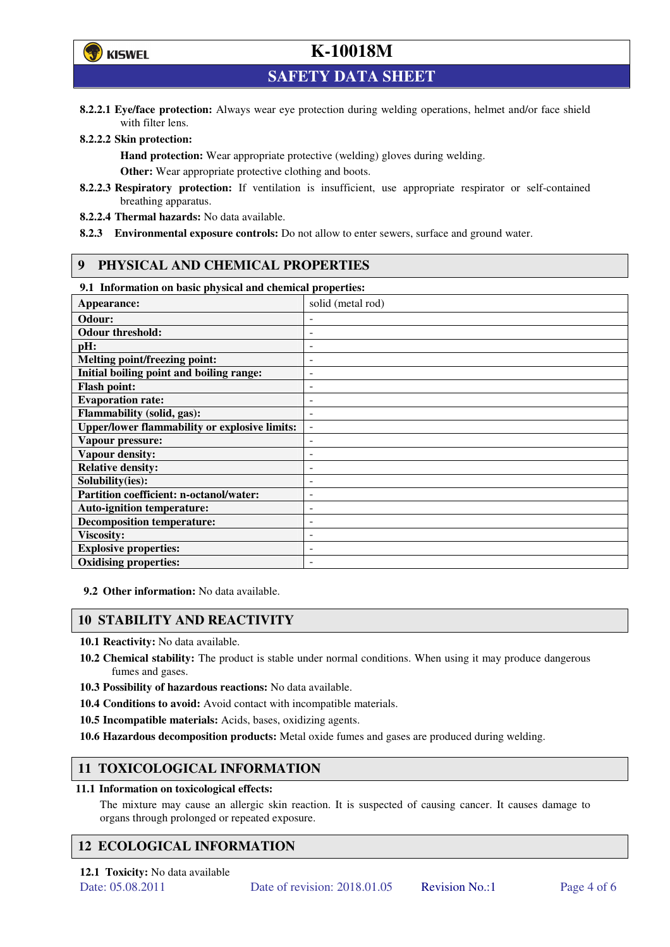

**SAFETY DATA SHEET** 

**8.2.2.1 Eye/face protection:** Always wear eye protection during welding operations, helmet and/or face shield with filter lens.

#### **8.2.2.2 Skin protection:**

**Hand protection:** Wear appropriate protective (welding) gloves during welding. **Other:** Wear appropriate protective clothing and boots.

- **8.2.2.3 Respiratory protection:** If ventilation is insufficient, use appropriate respirator or self-contained breathing apparatus.
- **8.2.2.4 Thermal hazards:** No data available.
- **8.2.3 Environmental exposure controls:** Do not allow to enter sewers, surface and ground water.

#### **9 PHYSICAL AND CHEMICAL PROPERTIES**

#### **9.1 Information on basic physical and chemical properties:**

| 2.1 - 111101 matron on basic physical and chemical properties. |                              |
|----------------------------------------------------------------|------------------------------|
| Appearance:                                                    | solid (metal rod)            |
| Odour:                                                         |                              |
| <b>Odour threshold:</b>                                        | ٠                            |
| pH:                                                            | $\overline{a}$               |
| Melting point/freezing point:                                  | ٠                            |
| Initial boiling point and boiling range:                       | $\qquad \qquad \blacksquare$ |
| <b>Flash point:</b>                                            |                              |
| <b>Evaporation rate:</b>                                       | $\overline{a}$               |
| <b>Flammability (solid, gas):</b>                              | ٠                            |
| <b>Upper/lower flammability or explosive limits:</b>           | $\overline{\phantom{a}}$     |
| Vapour pressure:                                               | $\qquad \qquad \blacksquare$ |
| <b>Vapour density:</b>                                         | ٠                            |
| <b>Relative density:</b>                                       |                              |
| Solubility(ies):                                               |                              |
| Partition coefficient: n-octanol/water:                        | $\qquad \qquad \blacksquare$ |
| <b>Auto-ignition temperature:</b>                              | ۰                            |
| <b>Decomposition temperature:</b>                              | ۰                            |
| <b>Viscosity:</b>                                              |                              |
| <b>Explosive properties:</b>                                   | $\qquad \qquad -$            |
| <b>Oxidising properties:</b>                                   | ۰                            |

**9.2 Other information:** No data available.

#### **10 STABILITY AND REACTIVITY**

**10.1 Reactivity:** No data available.

- **10.2 Chemical stability:** The product is stable under normal conditions. When using it may produce dangerous fumes and gases.
- **10.3 Possibility of hazardous reactions:** No data available.
- **10.4 Conditions to avoid:** Avoid contact with incompatible materials.
- **10.5 Incompatible materials:** Acids, bases, oxidizing agents.
- **10.6 Hazardous decomposition products:** Metal oxide fumes and gases are produced during welding.

### **11 TOXICOLOGICAL INFORMATION**

#### **11.1 Information on toxicological effects:**

The mixture may cause an allergic skin reaction. It is suspected of causing cancer. It causes damage to organs through prolonged or repeated exposure.

### **12 ECOLOGICAL INFORMATION**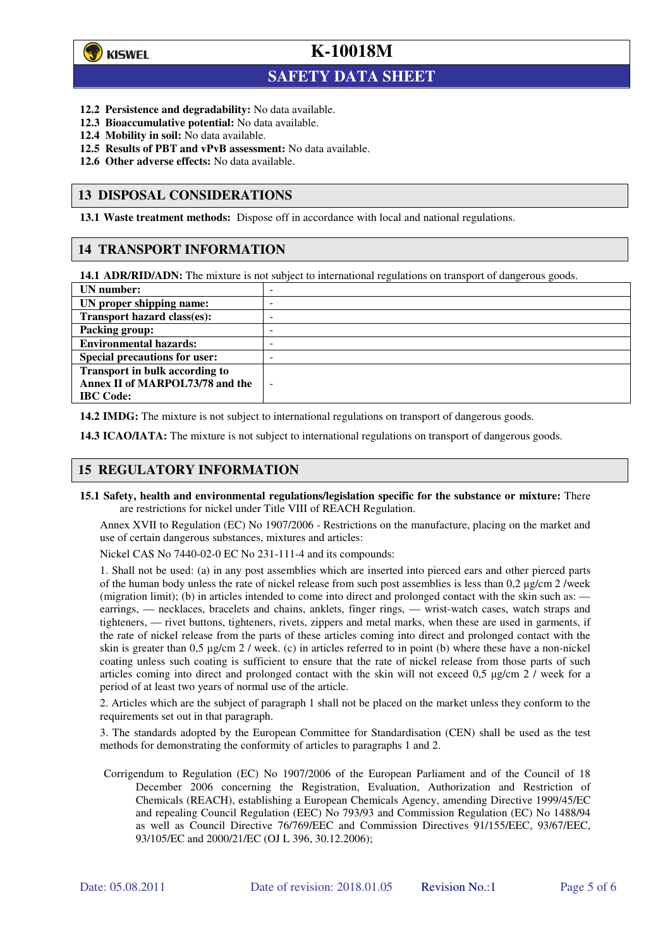

 $\overline{a}$ 

## **K-10018M**

## **SAFETY DATA SHEET**

- **12.2 Persistence and degradability:** No data available.
- **12.3 Bioaccumulative potential:** No data available.
- **12.4 Mobility in soil:** No data available.
- **12.5 Results of PBT and vPvB assessment:** No data available.
- **12.6 Other adverse effects:** No data available.

#### **13 DISPOSAL CONSIDERATIONS**

**13.1 Waste treatment methods:** Dispose off in accordance with local and national regulations.

#### **14 TRANSPORT INFORMATION**

**14.1 ADR/RID/ADN:** The mixture is not subject to international regulations on transport of dangerous goods.

| UN number:                            | -                        |
|---------------------------------------|--------------------------|
| UN proper shipping name:              | -                        |
| Transport hazard class(es):           | -                        |
| <b>Packing group:</b>                 | -                        |
| <b>Environmental hazards:</b>         | -                        |
| <b>Special precautions for user:</b>  | -                        |
| <b>Transport in bulk according to</b> |                          |
| Annex II of MARPOL73/78 and the       | $\overline{\phantom{0}}$ |
| <b>IBC</b> Code:                      |                          |

**14.2 IMDG:** The mixture is not subject to international regulations on transport of dangerous goods.

**14.3 ICAO/IATA:** The mixture is not subject to international regulations on transport of dangerous goods.

#### **15 REGULATORY INFORMATION**

**15.1 Safety, health and environmental regulations/legislation specific for the substance or mixture:** There are restrictions for nickel under Title VIII of REACH Regulation.

Annex XVII to Regulation (EC) No 1907/2006 - Restrictions on the manufacture, placing on the market and use of certain dangerous substances, mixtures and articles:

Nickel CAS No 7440-02-0 EC No 231-111-4 and its compounds:

1. Shall not be used: (a) in any post assemblies which are inserted into pierced ears and other pierced parts of the human body unless the rate of nickel release from such post assemblies is less than  $0.2 \mu$ g/cm  $2$ /week (migration limit); (b) in articles intended to come into direct and prolonged contact with the skin such as: earrings, — necklaces, bracelets and chains, anklets, finger rings, — wrist-watch cases, watch straps and tighteners, — rivet buttons, tighteners, rivets, zippers and metal marks, when these are used in garments, if the rate of nickel release from the parts of these articles coming into direct and prolonged contact with the skin is greater than 0,5 µg/cm 2 / week. (c) in articles referred to in point (b) where these have a non-nickel coating unless such coating is sufficient to ensure that the rate of nickel release from those parts of such articles coming into direct and prolonged contact with the skin will not exceed 0,5 µg/cm 2 / week for a period of at least two years of normal use of the article.

2. Articles which are the subject of paragraph 1 shall not be placed on the market unless they conform to the requirements set out in that paragraph.

3. The standards adopted by the European Committee for Standardisation (CEN) shall be used as the test methods for demonstrating the conformity of articles to paragraphs 1 and 2.

Corrigendum to Regulation (EC) No 1907/2006 of the European Parliament and of the Council of 18 December 2006 concerning the Registration, Evaluation, Authorization and Restriction of Chemicals (REACH), establishing a European Chemicals Agency, amending Directive 1999/45/EC and repealing Council Regulation (EEC) No 793/93 and Commission Regulation (EC) No 1488/94 as well as Council Directive 76/769/EEC and Commission Directives 91/155/EEC, 93/67/EEC, 93/105/EC and 2000/21/EC (OJ L 396, 30.12.2006);